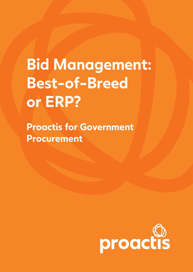# **Bid Management: Best-of-Breed or ERP?**

**Proactis for Government Procurement**

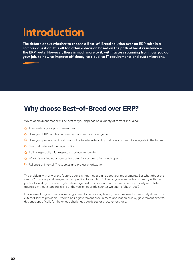# **Introduction**

**The debate about whether to choose a Best-of-Breed solution over an ERP suite is a complex question. It is all too often a decision based on the path of least resistance – the ERP route. However, there is much more to it, with factors spanning from how you do your job, to how to improve efficiency, to cloud, to IT requirements and customizations.** 

#### **Why choose Best-of-Breed over ERP?**

Which deployment model will be best for you depends on a variety of factors, including:

- **O** The needs of your procurement team.
- **C** How your ERP handles procurement and vendor management.
- **C** How your procurement and financial data integrate today and how you need to integrate in the future.
- Size and culture of the organization.
- **Agility, especially with respect to updates/upgrades.**
- What it's costing your agency for potential customizations and support.
- **C** Reliance of internal IT resources and project prioritization.

The problem with any of the factors above is that they are all about your requirements. But what about the vendor? How do you drive greater competition to your bids? How do you increase transparency with the public? How do you remain agile to leverage best practices from numerous other city, county and state agencies without standing in line at the version upgrade counter waiting to "check-out"?

Procurement organizations increasingly need to be more agile and, therefore, need to creatively draw from external service providers. Proactis has a government procurement application built by government experts, designed specifically for the unique challenges public sector procurement face.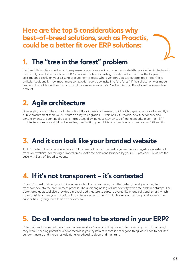**Here are the top 5 considerations why best-of-breed solutions, such as Proactis, could be a better fit over ERP solutions:**



#### **1. The "tree in the forest" problem**

If a tree falls in a forest, will only those pre-registered vendors in your vendor portal (those standing in the forest) be the only ones to hear it? Is your ERP solution capable of creating an external Bid Board with all open solicitations directly on your existing procurement website where vendors visit without pre-registration? It is unlikely. Additionally, how much more competition could you invite into "the forest" if the solicitation was made visible to the public and broadcast to notifications services via RSS? With a Best-of-Breed solution, an endless amount.

### **2. Agile architecture**

Does agility come at the cost of integration? If so, it needs addressing, quickly. Changes occur more frequently in public procurement than your IT team's ability to upgrade ERP versions. At Proactis, new functionality and enhancements are continually being introduced, allowing us to stay on top of market needs. In contrast, ERP architectures are more rigid and inflexible; thus limiting your ability to extend and customize your ERP solution.

### **3. And it can look like your branded website**

An ERP system does offer convenience. But it comes at a cost. The cost is generic vendor registration, external from your website, containing a limited amount of data fields and branded by your ERP provider. This is not the case with Best-of-Breed solutions.

#### **4. If it's not transparent – it's contested**

Proactis' robust audit engine tracks and records all activities throughout the system, thereby ensuring full transparency into the procurement process. The audit engine logs all user activity with date and time stamps. The automated audit tool also provides a manual audit feature to capture events like phone calls and emails, which occur outside of the system. Audit trails can be accessed through multiple views and through various reporting capabilities – giving users their own audit view.

#### **5. Do all vendors need to be stored in your ERP?**

Potential vendors are not the same as active vendors. So why do they have to be stored in your ERP as though they were? Keeping potential vendor records in your system of record is not a good thing, as it leads to polluted vendor masters and it requires additional overhead to clean and maintain.